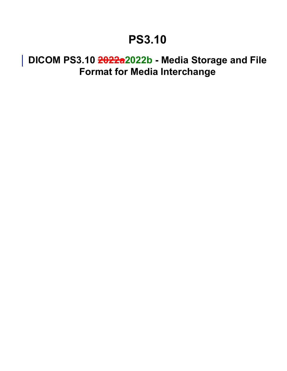# **PS3.10**

# **DICOM PS3.10 2022a2022b - Media Storage and File Format for Media Interchange**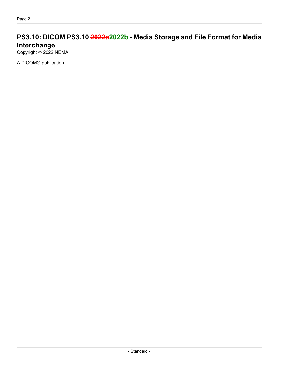# **PS3.10: DICOM PS3.10 2022a2022b - Media Storage and File Format for Media Interchange**

Copyright © 2022 NEMA

A DICOM® publication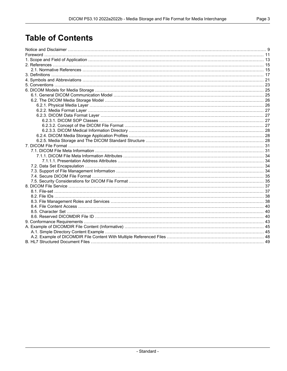# **Table of Contents**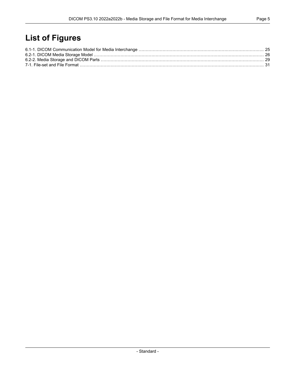# **List of Figures**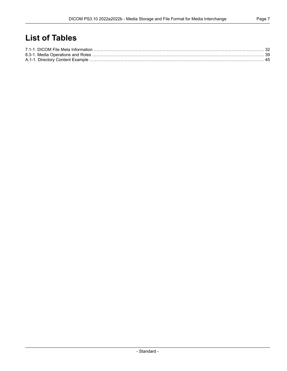# **List of Tables**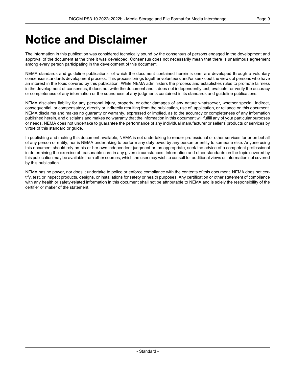# <span id="page-8-0"></span>**Notice and Disclaimer**

The information in this publication was considered technically sound by the consensus of persons engaged in the development and approval of the document at the time it was developed. Consensus does not necessarily mean that there is unanimous agreement among every person participating in the development of this document.

NEMA standards and guideline publications, of which the document contained herein is one, are developed through a voluntary consensus standards development process. This process brings together volunteers and/or seeks out the views of persons who have an interest in the topic covered by this publication. While NEMA administers the process and establishes rules to promote fairness in the development of consensus, it does not write the document and it does not independently test, evaluate, or verify the accuracy or completeness of any information or the soundness of any judgments contained in its standards and guideline publications.

NEMA disclaims liability for any personal injury, property, or other damages of any nature whatsoever, whether special, indirect, consequential, or compensatory, directly or indirectly resulting from the publication, use of, application, or reliance on this document. NEMA disclaims and makes no guaranty or warranty, expressed or implied, as to the accuracy or completeness of any information published herein, and disclaims and makes no warranty that the information in this document will fulfill any of your particular purposes or needs. NEMA does not undertake to guarantee the performance of any individual manufacturer or seller's products or services by virtue of this standard or guide.

In publishing and making this document available, NEMA is not undertaking to render professional or other services for or on behalf of any person or entity, nor is NEMA undertaking to perform any duty owed by any person or entity to someone else. Anyone using this document should rely on his or her own independent judgment or, as appropriate, seek the advice of a competent professional in determining the exercise of reasonable care in any given circumstances. Information and other standards on the topic covered by this publication may be available from other sources, which the user may wish to consult for additional views or information not covered by this publication.

NEMA has no power, nor does it undertake to police or enforce compliance with the contents of this document. NEMA does not cer tify, test, or inspect products, designs, or installations for safety or health purposes. Any certification or other statement of compliance with any health or safety-related information in this document shall not be attributable to NEMA and is solely the responsibility of the certifier or maker of the statement.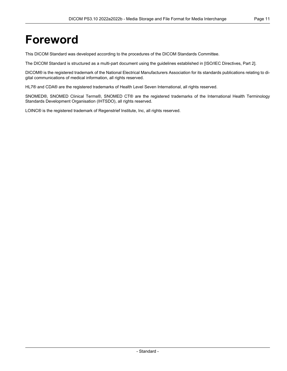# <span id="page-10-0"></span>**Foreword**

This DICOM Standard was developed according to the procedures of the DICOM Standards Committee.

The DICOM Standard is structured as a multi-part document using the guidelines established in [ISO/IEC [Directives,](#page-14-2) Part 2].

DICOM® is the registered trademark of the National Electrical Manufacturers Association for its standards publications relating to di gital communications of medical information, all rights reserved.

HL7® and CDA® are the registered trademarks of Health Level Seven International, all rights reserved.

SNOMED®, SNOMED Clinical Terms®, SNOMED CT® are the registered trademarks of the International Health Terminology Standards Development Organisation (IHTSDO), all rights reserved.

LOINC® is the registered trademark of Regenstrief Institute, Inc, all rights reserved.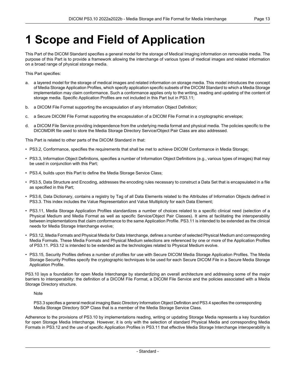# <span id="page-12-0"></span>**1 Scope and Field of Application**

This Part of the DICOM Standard specifies a general model for the storage of Medical Imaging information on removable media. The purpose of this Part is to provide a framework allowing the interchange of various types of medical images and related information on a broad range of physical storage media.

This Part specifies:

- a. a layered model for the storage of medical images and related information on storage media. This model introduces the concept of Media Storage Application Profiles, which specify application specific subsets of the DICOM Standard to which a Media Storage implementation may claim conformance. Such a conformance applies only to the writing, reading and updating of the content of storage media. Specific Application Profiles are not included in this Part but in [PS3.11](part11.pdf#PS3.11);
- b. a DICOM File Format supporting the encapsulation of any Information Object Definition;
- c. a Secure DICOM File Format supporting the encapsulation of a DICOM File Format in a cryptographic envelope;
- d. a DICOM File Service providing independence from the underlying media format and physical media. The policies specific to the DICOMDIR file used to store the Media Storage Directory Service/Object Pair Class are also addressed.

This Part is related to other parts of the DICOM Standard in that:

- [PS3.2](part02.pdf#PS3.2), Conformance, specifies the requirements that shall be met to achieve DICOM Conformance in Media Storage;
- [PS3.3](part03.pdf#PS3.3), Information Object Definitions, specifies a number of Information Object Definitions (e.g., various types of images) that may be used in conjunction with this Part;
- [PS3.4](part04.pdf#PS3.4), builds upon this Part to define the Media Storage Service Class;
- [PS3.5](part05.pdf#PS3.5), Data Structure and Encoding, addresses the encoding rules necessary to construct a Data Set that is encapsulated in a file as specified in this Part;
- [PS3.6](part06.pdf#PS3.6), Data Dictionary, contains a registry by Tag of all Data Elements related to the Attributes of Information Objects defined in [PS3.3](part03.pdf#PS3.3). This index includes the Value Representation and Value Multiplicity for each Data Element;
- [PS3.11](part11.pdf#PS3.11), Media Storage Application Profiles standardizes a number of choices related to a specific clinical need (selection of a Physical Medium and Media Format as well as specific Service/Object Pair Classes). It aims at facilitating the interoperability between implementations that claim conformance to the same Application Profile. [PS3.11](part11.pdf#PS3.11) is intended to be extended as the clinical needs for Media Storage Interchange evolve;
- [PS3.12](part12.pdf#PS3.12), Media Formats and Physical Media for Data Interchange, defines a number of selected Physical Medium and corresponding Media Formats. These Media Formats and Physical Medium selections are referenced by one or more of the Application Profiles of [PS3.11](part11.pdf#PS3.11). [PS3.12](part12.pdf#PS3.12) is intended to be extended as the technologies related to Physical Medium evolve.
- [PS3.15](part15.pdf#PS3.15), Security Profiles defines a number of profiles for use with Secure DICOM Media Storage Application Profiles. The Media Storage Security Profiles specify the cryptographic techniques to be used for each Secure DICOM File in a Secure Media Storage Application Profile.

PS3.10 lays a foundation for open Media Interchange by standardizing an overall architecture and addressing some of the major barriers to interoperability: the definition of a DICOM File Format, a DICOM File Service and the policies associated with a Media Storage Directory structure.

Note

[PS3.3](part03.pdf#PS3.3) specifies a general medical imaging Basic Directory Information Object Definition and [PS3.4](part04.pdf#PS3.4) specifies the corresponding Media Storage Directory SOP Class that is a member of the Media Storage Service Class.

Adherence to the provisions of PS3.10 by implementations reading, writing or updating Storage Media represents a key foundation for open Storage Media Interchange. However, it is only with the selection of standard Physical Media and corresponding Media Formats in [PS3.12](part12.pdf#PS3.12) and the use of specific Application Profiles in [PS3.11](part11.pdf#PS3.11) that effective Media Storage Interchange interoperability is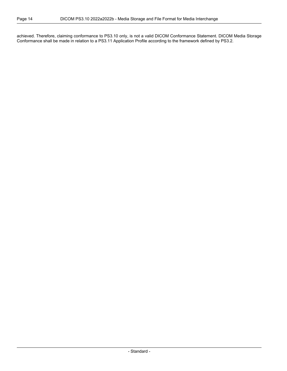achieved. Therefore, claiming conformance to PS3.10 only, is not a valid DICOM Conformance Statement. DICOM Media Storage Conformance shall be made in relation to a [PS3.11](part11.pdf#PS3.11) Application Profile according to the framework defined by [PS3.2.](part02.pdf#PS3.2)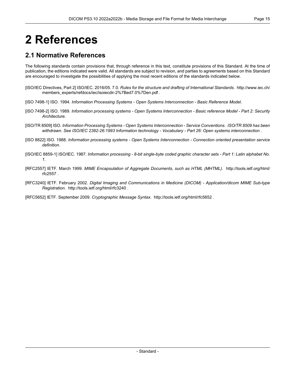# <span id="page-14-0"></span>**2 References**

# <span id="page-14-1"></span>**2.1 Normative References**

The following standards contain provisions that, through reference in this text, constitute provisions of this Standard. At the time of publication, the editions indicated were valid. All standards are subject to revision, and parties to agreements based on this Standard are encouraged to investigate the possibilities of applying the most recent editions of the standards indicated below.

- <span id="page-14-3"></span><span id="page-14-2"></span>[ISO/IEC Directives, Part 2] ISO/IEC. 2016/05. 7.0. *Rules for the structure and drafting of International Standards*. [http://www.iec.ch/](http://www.iec.ch/members_experts/refdocs/iec/isoiecdir-2%7Bed7.0%7Den.pdf) [members\\_experts/refdocs/iec/isoiecdir-2%7Bed7.0%7Den.pdf](http://www.iec.ch/members_experts/refdocs/iec/isoiecdir-2%7Bed7.0%7Den.pdf) .
- <span id="page-14-4"></span>[ISO 7498-1] ISO. 1994. *Information Processing Systems - Open Systems Interconnection - Basic Reference Model*.
- <span id="page-14-5"></span>[ISO 7498-2] ISO. 1989. Information processing systems - Open Systems Interconnection - Basic reference Model - Part 2: Security *Architecture*.
- <span id="page-14-6"></span>[ISO/TR 8509] ISO. *Information Processing Systems - Open Systems Interconnection - Service Conventions*. *ISO/TR 8509 has been withdrawn. See ISO/IEC 2382-26:1993 Information technology - Vocabulary - Part 26: Open systems interconnection* .
- [ISO 8822] ISO. 1988. *Information processing systems - Open Systems Interconnection - Connection oriented presentation service definition*.
- [ISO/IEC 8859-1] ISO/IEC. 1987. Information processing 8-bit single-byte coded graphic character sets Part 1: Latin alphabet No. *1*.
- <span id="page-14-8"></span>[RFC2557] IETF. March 1999. *MIME Encapsulation of Aggregate Documents, such as HTML (MHTML)*. [http://tools.ietf.org/html/](http://tools.ietf.org/html/rfc2557) [rfc2557](http://tools.ietf.org/html/rfc2557) .
- <span id="page-14-7"></span>[RFC3240] IETF. February 2002. *Digital Imaging and Communications in Medicine (DICOM) - Application/dicom MIME Sub-type Registration*. <http://tools.ietf.org/html/rfc3240> .

[RFC5652] IETF. September 2009. *Cryptographic Message Syntax*. <http://tools.ietf.org/html/rfc5652> .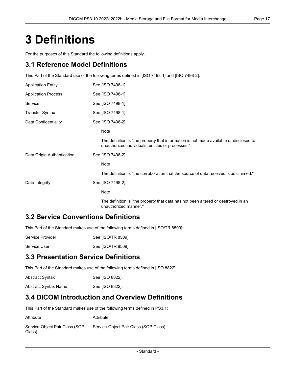# <span id="page-16-0"></span>**3 Definitions**

For the purposes of this Standard the following definitions apply.

### **3.1 Reference Model Definitions**

This Part of the Standard use of the following terms defined in [ISO [7498-1\]](#page-14-3) and [ISO [7498-2\]](#page-14-4):

| <b>Application Entity</b>  | See [ISO 7498-1].                                                                                                                           |
|----------------------------|---------------------------------------------------------------------------------------------------------------------------------------------|
| <b>Application Process</b> | See [ISO 7498-1].                                                                                                                           |
| Service                    | See [ISO 7498-1].                                                                                                                           |
| Transfer Syntax            | See [ISO 7498-1].                                                                                                                           |
| Data Confidentiality       | See [ISO 7498-2].                                                                                                                           |
|                            | Note                                                                                                                                        |
|                            | The definition is "the property that information is not made available or disclosed to<br>unauthorized individuals, entities or processes." |
| Data Origin Authentication | See [ISO 7498-2].                                                                                                                           |
|                            | Note                                                                                                                                        |
|                            | The definition is "the corroboration that the source of data received is as claimed."                                                       |
| Data Integrity             | See [ISO 7498-2].                                                                                                                           |
|                            | Note                                                                                                                                        |
|                            | The definition is "the property that data has not been altered or destroyed in an<br>unauthorized manner."                                  |

### **3.2 Service Conventions Definitions**

This Part of the Standard makes use of the following terms defined in [\[ISO/TR](#page-14-5) 8509]:

| Service Provider | See [ISO/TR 8509]. |
|------------------|--------------------|
|                  |                    |

Service User See [\[ISO/TR](#page-14-5) 8509].

# **3.3 Presentation Service Definitions**

This Part of the Standard makes use of the following terms defined in [ISO [8822\]](#page-14-6):

| <b>Abstract Syntax</b> | See [ISO 8822]. |
|------------------------|-----------------|
| Abstract Syntax Name   | See [ISO 8822]. |

### **3.4 DICOM Introduction and Overview Definitions**

This Part of the Standard makes use of the following terms defined in [PS3.1:](part01.pdf#PS3.1)

| Attribute                                | Attribute.                             |
|------------------------------------------|----------------------------------------|
| Service-Object Pair Class (SOP<br>Class) | Service-Object Pair Class (SOP Class). |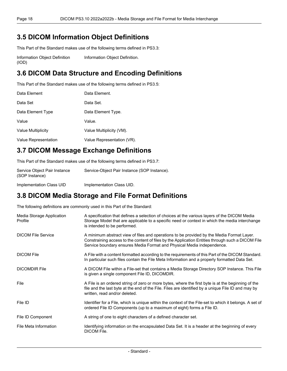# **3.5 DICOM Information Object Definitions**

This Part of the Standard makes use of the following terms defined in [PS3.3:](part03.pdf#PS3.3)

Information Object Definition (IOD) [Information](part03.pdf#glossentry_InformationObjectDefinition) Object Definition.

# **3.6 DICOM Data Structure and Encoding Definitions**

This Part of the Standard makes use of the following terms defined in [PS3.5:](part05.pdf#PS3.5)

| Data Element         | Data Element.              |
|----------------------|----------------------------|
| Data Set             | Data Set.                  |
| Data Element Type    | Data Element Type.         |
| Value                | Value.                     |
| Value Multiplicity   | Value Multiplicity (VM).   |
| Value Representation | Value Representation (VR). |

# **3.7 DICOM Message Exchange Definitions**

This Part of the Standard makes use of the following terms defined in [PS3.7:](part07.pdf#PS3.7)

| Service Object Pair Instance<br>(SOP Instance) | Service-Object Pair Instance (SOP Instance). |
|------------------------------------------------|----------------------------------------------|
| Implementation Class UID                       | Implementation Class UID.                    |

# **3.8 DICOM Media Storage and File Format Definitions**

The following definitions are commonly used in this Part of the Standard:

| Media Storage Application<br>Profile | A specification that defines a selection of choices at the various layers of the DICOM Media<br>Storage Model that are applicable to a specific need or context in which the media interchange<br>is intended to be performed.                                           |
|--------------------------------------|--------------------------------------------------------------------------------------------------------------------------------------------------------------------------------------------------------------------------------------------------------------------------|
| <b>DICOM File Service</b>            | A minimum abstract view of files and operations to be provided by the Media Format Layer.<br>Constraining access to the content of files by the Application Entities through such a DICOM File<br>Service boundary ensures Media Format and Physical Media independence. |
| <b>DICOM File</b>                    | A File with a content formatted according to the requirements of this Part of the DICOM Standard.<br>In particular such files contain the File Meta Information and a properly formatted Data Set.                                                                       |
| <b>DICOMDIR File</b>                 | A DICOM File within a File-set that contains a Media Storage Directory SOP Instance. This File<br>is given a single component File ID, DICOMDIR.                                                                                                                         |
| File                                 | A File is an ordered string of zero or more bytes, where the first byte is at the beginning of the<br>file and the last byte at the end of the File. Files are identified by a unique File ID and may by<br>written, read and/or deleted.                                |
| File ID                              | Identifier for a File, which is unique within the context of the File-set to which it belongs. A set of<br>ordered File ID Components (up to a maximum of eight) forms a File ID.                                                                                        |
| File ID Component                    | A string of one to eight characters of a defined character set.                                                                                                                                                                                                          |
| File Meta Information                | Identifying information on the encapsulated Data Set. It is a header at the beginning of every<br>DICOM File.                                                                                                                                                            |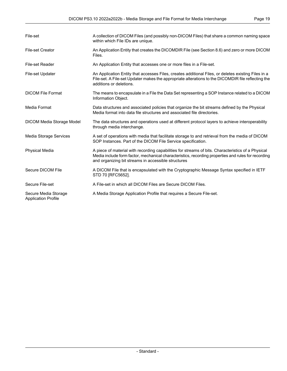| File-set                                           | A collection of DICOM Files (and possibly non-DICOM Files) that share a common naming space<br>within which File IDs are unique.                                                                                                                                 |
|----------------------------------------------------|------------------------------------------------------------------------------------------------------------------------------------------------------------------------------------------------------------------------------------------------------------------|
| <b>File-set Creator</b>                            | An Application Entity that creates the DICOMDIR File (see Section 8.6) and zero or more DICOM<br>Files.                                                                                                                                                          |
| File-set Reader                                    | An Application Entity that accesses one or more files in a File-set.                                                                                                                                                                                             |
| File-set Updater                                   | An Application Entity that accesses Files, creates additional Files, or deletes existing Files in a<br>File-set. A File-set Updater makes the appropriate alterations to the DICOMDIR file reflecting the<br>additions or deletions.                             |
| <b>DICOM File Format</b>                           | The means to encapsulate in a File the Data Set representing a SOP Instance related to a DICOM<br>Information Object.                                                                                                                                            |
| Media Format                                       | Data structures and associated policies that organize the bit streams defined by the Physical<br>Media format into data file structures and associated file directories.                                                                                         |
| <b>DICOM Media Storage Model</b>                   | The data structures and operations used at different protocol layers to achieve interoperability<br>through media interchange.                                                                                                                                   |
| Media Storage Services                             | A set of operations with media that facilitate storage to and retrieval from the media of DICOM<br>SOP Instances. Part of the DICOM File Service specification.                                                                                                  |
| <b>Physical Media</b>                              | A piece of material with recording capabilities for streams of bits. Characteristics of a Physical<br>Media include form factor, mechanical characteristics, recording properties and rules for recording<br>and organizing bit streams in accessible structures |
| Secure DICOM File                                  | A DICOM File that is encapsulated with the Cryptographic Message Syntax specified in IETF<br>STD 70 [RFC5652].                                                                                                                                                   |
| Secure File-set                                    | A File-set in which all DICOM Files are Secure DICOM Files.                                                                                                                                                                                                      |
| Secure Media Storage<br><b>Application Profile</b> | A Media Storage Application Profile that requires a Secure File-set.                                                                                                                                                                                             |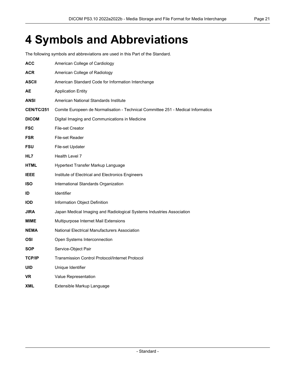# <span id="page-20-0"></span>**4 Symbols and Abbreviations**

The following symbols and abbreviations are used in this Part of the Standard.

| ACC               | American College of Cardiology                                                   |
|-------------------|----------------------------------------------------------------------------------|
| <b>ACR</b>        | American College of Radiology                                                    |
| <b>ASCII</b>      | American Standard Code for Information Interchange                               |
| AЕ                | <b>Application Entity</b>                                                        |
| ANSI              | American National Standards Institute                                            |
| <b>CEN/TC/251</b> | Comite Europeen de Normalisation - Technical Committee 251 - Medical Informatics |
| <b>DICOM</b>      | Digital Imaging and Communications in Medicine                                   |
| <b>FSC</b>        | <b>File-set Creator</b>                                                          |
| <b>FSR</b>        | File-set Reader                                                                  |
| <b>FSU</b>        | File-set Updater                                                                 |
| HL7               | Health Level 7                                                                   |
| <b>HTML</b>       | Hypertext Transfer Markup Language                                               |
| <b>IEEE</b>       | Institute of Electrical and Electronics Engineers                                |
| <b>ISO</b>        | International Standards Organization                                             |
| ID                | <b>Identifier</b>                                                                |
| <b>IOD</b>        | Information Object Definition                                                    |
| <b>JIRA</b>       | Japan Medical Imaging and Radiological Systems Industries Association            |
| MIME              | Multipurpose Internet Mail Extensions                                            |
| <b>NEMA</b>       | National Electrical Manufacturers Association                                    |
| OSI               | Open Systems Interconnection                                                     |
| <b>SOP</b>        | Service-Object Pair                                                              |
| <b>TCP/IP</b>     | <b>Transmission Control Protocol/Internet Protocol</b>                           |
| <b>UID</b>        | Unique Identifier                                                                |
| VR                | Value Representation                                                             |
| XML               | Extensible Markup Language                                                       |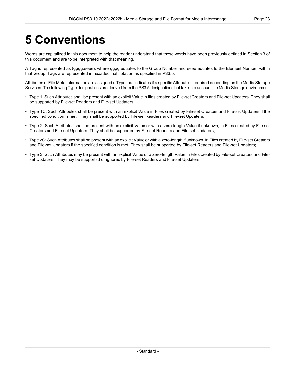# <span id="page-22-0"></span>**5 Conventions**

Words are capitalized in this document to help the reader understand that these words have been previously defined in Section 3 of this document and are to be interpreted with that meaning.

A Tag is represented as (gggg,eeee), where gggg equates to the Group Number and eeee equates to the Element Number within that Group. Tags are represented in hexadecimal notation as specified in [PS3.5.](part05.pdf#PS3.5)

Attributes of File Meta Information are assigned a Type that indicates if a specific Attribute is required depending on the Media Storage Services. The following Type designations are derived from the [PS3.5](part05.pdf#PS3.5) designations but take into account the Media Storage environment:

- Type 1: Such Attributes shall be present with an explicit Value in files created by File-set Creators and File-set Updaters. They shall be supported by File-set Readers and File-set Updaters;
- Type 1C: Such Attributes shall be present with an explicit Value in Files created by File-set Creators and File-set Updaters if the specified condition is met. They shall be supported by File-set Readers and File-set Updaters;
- Type 2: Such Attributes shall be present with an explicit Value or with a zero-length Value if unknown, in Files created by File-set Creators and File-set Updaters. They shall be supported by File-set Readers and File-set Updaters;
- Type 2C: Such Attributes shall be present with an explicit Value or with a zero-length if unknown, in Files created by File-set Creators and File-set Updaters if the specified condition is met. They shall be supported by File-set Readers and File-set Updaters;
- Type 3: Such Attributes may be present with an explicit Value or a zero-length Value in Files created by File-set Creators and File set Updaters. They may be supported or ignored by File-set Readers and File-set Updaters.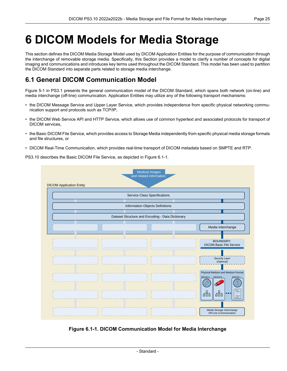# <span id="page-24-0"></span>**6 DICOM Models for Media Storage**

This section defines the DICOM Media Storage Model used by DICOM Application Entities for the purpose of communication through the interchange of removable storage media. Specifically, this Section provides a model to clarify a number of concepts for digital imaging and communications and introduces key terms used throughout the DICOM Standard. This model has been used to partition the DICOM Standard into separate parts related to storage media interchange.

# <span id="page-24-1"></span>**6.1 General DICOM Communication Model**

[Figure](part01.pdf#figure_5-1) 5-1 in PS3.1 presents the general communication model of the DICOM Standard, which spans both network (on-line) and media interchange (off-line) communication. Application Entities may utilize any of the following transport mechanisms:

- the DICOM Message Service and Upper Layer Service, which provides independence from specific physical networking commu nication support and protocols such as TCP/IP,
- the DICOM Web Service API and HTTP Service, which allows use of common hypertext and associated protocols for transport of DICOM services,
- the Basic DICOM File Service, which provides access to Storage Media independently from specific physical media storage formats and file structures, or
- <span id="page-24-2"></span>• DICOM Real-Time Communication, which provides real-time transport of DICOM metadata based on SMPTE and RTP.

PS3.10 describes the Basic DICOM File Service, as depicted in [Figure](#page-24-2) 6.1-1.

|                                 | <b>Medical Images</b><br>and related information |                                                                                                                           |
|---------------------------------|--------------------------------------------------|---------------------------------------------------------------------------------------------------------------------------|
| <b>DICOM Application Entity</b> |                                                  |                                                                                                                           |
|                                 | <b>Service Class Specifications</b>              |                                                                                                                           |
|                                 | Information Objects Definitions                  |                                                                                                                           |
|                                 | Dataset Structure and Encoding - Data Dictionary |                                                                                                                           |
|                                 |                                                  |                                                                                                                           |
|                                 |                                                  | Media Interchange                                                                                                         |
|                                 |                                                  | <b>BOUNDARY:</b><br><b>DICOM Basic File Service</b>                                                                       |
|                                 |                                                  | Security Layer<br>(Optional)                                                                                              |
|                                 |                                                  | Physical Medium and Medium Format<br>MEDIUM A<br><b>MEDIUM B</b><br>MEDIUM n<br>$\bullet$<br>$\bullet$<br>FILE><br>品<br>æ |
|                                 |                                                  | $\frac{c}{c}$ FIELD><br>Media Storage Interchange<br>Off-Line Communication                                               |

**Figure 6.1-1. DICOM Communication Model for Media Interchange**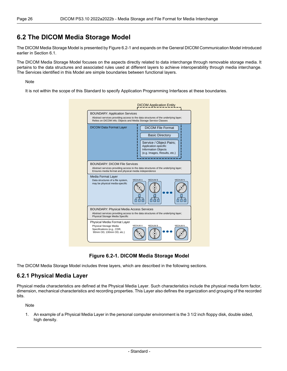### <span id="page-25-0"></span>**6.2 The DICOM Media Storage Model**

The DICOM Media Storage Model is presented by [Figure](#page-25-2) 6.2-1 and expands on the General DICOM Communication Model introduced earlier in [Section](#page-24-1) 6.1.

The DICOM Media Storage Model focuses on the aspects directly related to data interchange through removable storage media. It pertains to the data structures and associated rules used at different layers to achieve interoperability through media interchange. The Services identified in this Model are simple boundaries between functional layers.

#### Note

<span id="page-25-2"></span>It is not within the scope of this Standard to specify Application Programming Interfaces at these boundaries.

| <b>BOUNDARY: Application Services</b><br>Relies on DICOM info; Objects and Media Storage Service Classes | Abstract services providing access to the data structures of the underlying layer;                                                                                  |
|----------------------------------------------------------------------------------------------------------|---------------------------------------------------------------------------------------------------------------------------------------------------------------------|
| <b>DICOM Data Format Layer</b>                                                                           | <b>DICOM File Format</b><br><b>Basic Directory</b><br>Service / Object Pairs;<br>Application-specific<br><b>Information Objects</b><br>(e.g. Images, Results, etc.) |
| <b>BOUNDARY: DICOM File Services</b>                                                                     |                                                                                                                                                                     |
| Ensures media format and physical media independence                                                     | Abstract services providing access to the data structures of the underlying layer;                                                                                  |
| Media Format Layer<br>Data structures of a file system,<br>may be physical media-specific                | <b>MEDIUM A</b><br><b>MEDIUM B</b><br><b>MEDIUM N</b>                                                                                                               |
| <b>BOUNDARY: Physical Media Access Services</b><br>Physical Storage Media Specific                       | Abstract services providing access to the data structures of the underlying layer;                                                                                  |

**Figure 6.2-1. DICOM Media Storage Model**

<span id="page-25-1"></span>The DICOM Media Storage Model includes three layers, which are described in the following sections.

#### **6.2.1 Physical Media Layer**

Physical media characteristics are defined at the Physical Media Layer. Such characteristics include the physical media form factor, dimension, mechanical characteristics and recording properties. This Layer also defines the organization and grouping of the recorded bits.

Note

1. An example of a Physical Media Layer in the personal computer environment is the 3 1/2 inch floppy disk, double sided, high density.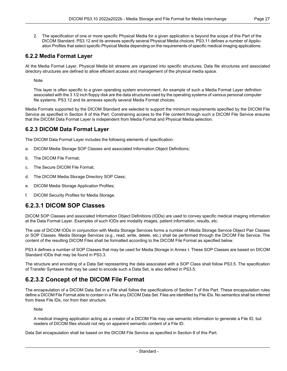2. The specification of one or more specific Physical Media for a given application is beyond the scope of this Part of the DICOM Standard. [PS3.12](part12.pdf#PS3.12) and its annexes specify several Physical Media choices. [PS3.11](part11.pdf#PS3.11) defines a number of Applic ation Profiles that select specific Physical Media depending on the requirements of specific medical imaging applications.

#### <span id="page-26-0"></span>**6.2.2 Media Format Layer**

At the Media Format Layer, Physical Media bit streams are organized into specific structures. Data file structures and associated directory structures are defined to allow efficient access and management of the physical media space.

Note

This layer is often specific to a given operating system environment. An example of such a Media Format Layer definition associated with the 3 1/2 inch floppy disk are the data structures used by the operating systems of various personal computer file systems. [PS3.12](part12.pdf#PS3.12) and its annexes specify several Media Format choices.

<span id="page-26-1"></span>Media Formats supported by the DICOM Standard are selected to support the minimum requirements specified by the DICOM File Service as specified in Section 8 of this Part. Constraining access to the File content through such a DICOM File Service ensures that the DICOM Data Format Layer is independent from Media Format and Physical Media selection.

#### **6.2.3 DICOM Data Format Layer**

The DICOM Data Format Layer includes the following elements of specification:

- a. DICOM Media Storage SOP Classes and associated Information Object Definitions;
- b. The DICOM File Format;
- c. The Secure DICOM File Format;
- d. The DICOM Media Storage Directory SOP Class;
- <span id="page-26-2"></span>e. DICOM Media Storage Application Profiles;
- f. DICOM Security Profiles for Media Storage.

#### **6.2.3.1 DICOM SOP Classes**

DICOM SOP Classes and associated Information Object Definitions (IODs) are used to convey specific medical imaging information at the Data Format Layer. Examples of such IODs are modality images, patient information, results, etc.

The use of DICOM IODs in conjunction with Media Storage Services forms a number of Media Storage Service Object Pair Classes or SOP Classes. Media Storage Services (e.g., read, write, delete, etc.) shall be performed through the DICOM File Service. The content of the resulting DICOM Files shall be formatted according to the DICOM File Format as specified below.

<span id="page-26-3"></span>[PS3.4](part04.pdf#PS3.4) defines a number of SOP Classes that may be used for Media Storage in [Annex](part04.pdf#chapter_I) I. These SOP Classes are based on DICOM Standard IODs that may be found in [PS3.3](part03.pdf#PS3.3).

The structure and encoding of a Data Set representing the data associated with a SOP Class shall follow [PS3.5.](part05.pdf#PS3.5) The specification of Transfer Syntaxes that may be used to encode such a Data Set, is also defined in [PS3.5.](part05.pdf#PS3.5)

#### **6.2.3.2 Concept of the DICOM File Format**

The encapsulation of a DICOM Data Set in a File shall follow the specifications of Section 7 of this Part. These encapsulation rules define a DICOM File Format able to contain in a File any DICOM Data Set. Files are identified by File IDs. No semantics shall be inferred from these File IDs, nor from their structure.

Note

A medical imaging application acting as a creator of a DICOM File may use semantic information to generate a File ID, but readers of DICOM files should not rely on apparent semantic content of a File ID.

Data Set encapsulation shall be based on the DICOM File Service as specified in Section 8 of this Part.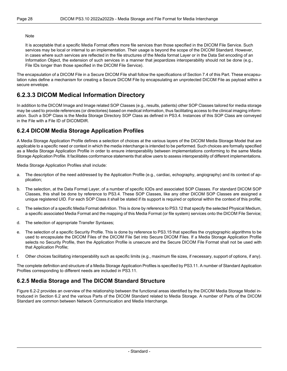#### Note

It is acceptable that a specific Media Format offers more file services than those specified in the DICOM File Service. Such services may be local or internal to an implementation. Their usage is beyond the scope of the DICOM Standard. However, in cases where such services are reflected in the file structures of the Media format Layer or in the Data Set encoding of an Information Object, the extension of such services in a manner that jeopardizes interoperability should not be done (e.g., File IDs longer than those specified in the DICOM File Service).

<span id="page-27-0"></span>The encapsulation of a DICOM File in a Secure DICOM File shall follow the specifications of [Section](#page-34-0) 7.4 of this Part. These encapsu lation rules define a mechanism for creating a Secure DICOM File by encapsulating an unprotected DICOM File as payload within a secure envelope.

### **6.2.3.3 DICOM Medical Information Directory**

<span id="page-27-1"></span>In addition to the DICOM Image and Image related SOP Classes (e.g., results, patients) other SOP Classes tailored for media storage may be used to provide references (or directories) based on medical information, thus facilitating access to the clinical imaging inform ation. Such a SOP Class is the Media Storage Directory SOP Class as defined in [PS3.4](part04.pdf#PS3.4). Instances of this SOP Class are conveyed in the File with a File ID of DICOMDIR.

#### **6.2.4 DICOM Media Storage Application Profiles**

A Media Storage Application Profile defines a selection of choices at the various layers of the DICOM Media Storage Model that are applicable to a specific need or context in which the media interchange is intended to be performed. Such choices are formally specified as a Media Storage Application Profile in order to ensure interoperability between implementations conforming to the same Media Storage Application Profile. It facilitates conformance statements that allow users to assess interoperability of different implementations.

Media Storage Application Profiles shall include:

- a. The description of the need addressed by the Application Profile (e.g., cardiac, echography, angiography) and its context of ap plication;
- b. The selection, at the Data Format Layer, of a number of specific IODs and associated SOP Classes. For standard DICOM SOP Classes, this shall be done by reference to [PS3.4.](part04.pdf#PS3.4) These SOP Classes, like any other DICOM SOP Classes are assigned a unique registered UID. For each SOP Class it shall be stated if its support is required or optional within the context of this profile;
- c. The selection of a specific Media Format definition. This is done by reference to [PS3.12](part12.pdf#PS3.12) that specify the selected Physical Medium, a specific associated Media Format and the mapping of this Media Format (or file system) services onto the DICOM File Service;
- d. The selection of appropriate Transfer Syntaxes;
- e. The selection of a specific Security Profile. This is done by reference to [PS3.15](part15.pdf#PS3.15) that specifies the cryptographic algorithms to be used to encapsulate the DICOM Files of the DICOM File Set into Secure DICOM Files. If a Media Storage Application Profile selects no Security Profile, then the Application Profile is unsecure and the Secure DICOM File Format shall not be used with that Application Profile;
- <span id="page-27-2"></span>f. Other choices facilitating interoperability such as specific limits (e.g., maximum file sizes, if necessary, support of options, if any).

The complete definition and structure of a Media Storage Application Profiles is specified by [PS3.11](part11.pdf#PS3.11). A number of Standard Application Profiles corresponding to different needs are included in [PS3.11](part11.pdf#PS3.11).

#### **6.2.5 Media Storage and The DICOM Standard Structure**

[Figure](#page-28-0) 6.2-2 provides an overview of the relationship between the functional areas identified by the DICOM Media Storage Model in troduced in [Section](#page-25-0) 6.2 and the various Parts of the DICOM Standard related to Media Storage. A number of Parts of the DICOM Standard are common between Network Communication and Media Interchange.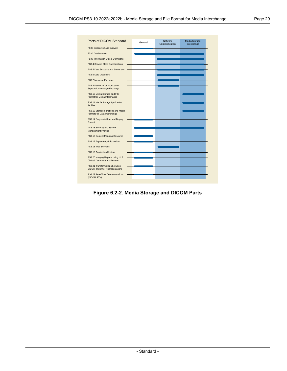<span id="page-28-0"></span>

| Parts of DICOM Standard                                                  | General | <b>Network</b><br>Communication | Media Storage<br>Interchange |
|--------------------------------------------------------------------------|---------|---------------------------------|------------------------------|
| PS3.1 Introduction and Overview                                          |         |                                 |                              |
| PS3.2 Conformance                                                        |         |                                 |                              |
| PS3.3 Information Object Definitions                                     |         |                                 |                              |
| PS3.4 Service Class Specifications                                       |         |                                 |                              |
| PS3.5 Data Structure and Semantics                                       |         |                                 |                              |
| PS3.6 Data Dictionary                                                    |         |                                 |                              |
| PS3.7 Message Exchange                                                   |         |                                 |                              |
| PS3.8 Network Communication<br>Support for Message Exchange              |         |                                 |                              |
| PS3.10 Media Storage and File<br>Format for Media Interchange            |         |                                 |                              |
| PS3.11 Media Storage Application<br><b>Profiles</b>                      |         |                                 |                              |
| PS3.12 Storage Functions and Media -<br>Formats for Data Interchange     |         |                                 |                              |
| PS3.14 Grayscale Standard Display<br>Format                              |         |                                 |                              |
| PS3.15 Security and System<br><b>Management Profiles</b>                 |         |                                 |                              |
| PS3.16 Content Mapping Resource                                          |         |                                 |                              |
| PS3.17 Explanatory Information                                           |         |                                 |                              |
| PS3.18 Web Services                                                      |         |                                 |                              |
| PS3.19 Application Hosting                                               |         |                                 |                              |
| PS3.20 Imaging Reports using HL7<br>Clinical Document Architecture       |         |                                 |                              |
| PS3.21 Transformations between<br><b>DICOM</b> and other Representations |         |                                 |                              |
| PS3.22 Real-Time Communications<br>(DICOM RTV)                           |         |                                 |                              |

**Figure 6.2-2. Media Storage and DICOM Parts**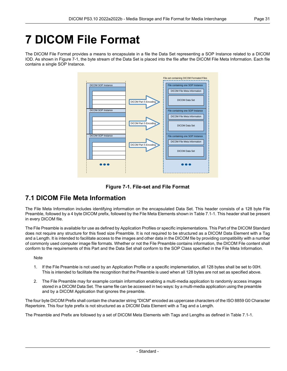# <span id="page-30-0"></span>**7 DICOM File Format**

<span id="page-30-2"></span>The DICOM File Format provides a means to encapsulate in a file the Data Set representing a SOP Instance related to a DICOM IOD. As shown in [Figure](#page-30-2) 7-1, the byte stream of the Data Set is placed into the file after the DICOM File Meta Information. Each file contains a single SOP Instance.





# <span id="page-30-1"></span>**7.1 DICOM File Meta Information**

The File Meta Information includes identifying information on the encapsulated Data Set. This header consists of a 128 byte File Preamble, followed by a 4 byte DICOM prefix, followed by the File Meta Elements shown in [Table](#page-31-0) 7.1-1. This header shall be present in every DICOM file.

The File Preamble is available for use as defined by Application Profiles or specific implementations. This Part of the DICOM Standard does not require any structure for this fixed size Preamble. It is not required to be structured as a DICOM Data Element with a Tag and a Length. It is intended to facilitate access to the images and other data in the DICOM file by providing compatibility with a number of commonly used computer image file formats. Whether or not the File Preamble contains information, the DICOM File content shall conform to the requirements of this Part and the Data Set shall conform to the SOP Class specified in the File Meta Information.

#### **Note**

- 1. If the File Preamble is not used by an Application Profile or a specific implementation, all 128 bytes shall be set to 00H. This is intended to facilitate the recognition that the Preamble is used when all 128 bytes are not set as specified above.
- 2. The File Preamble may for example contain information enabling a multi-media application to randomly access images stored in a DICOM Data Set. The same file can be accessed in two ways: by a multi-media application using the preamble and by a DICOM Application that ignores the preamble.

The four byte DICOM Prefix shall contain the character string "DICM" encoded as uppercase characters of the ISO 8859 G0 Character Repertoire. This four byte prefix is not structured as a DICOM Data Element with a Tag and a Length.

The Preamble and Prefix are followed by a set of DICOM Meta Elements with Tags and Lengths as defined in [Table](#page-31-0) 7.1-1.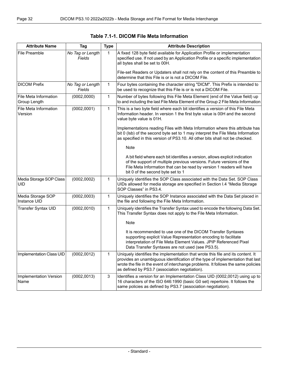<span id="page-31-0"></span>

| <b>Attribute Name</b>                 | Tag                        | <b>Type</b>  | <b>Attribute Description</b>                                                                                                                                                                                                                                                                             |
|---------------------------------------|----------------------------|--------------|----------------------------------------------------------------------------------------------------------------------------------------------------------------------------------------------------------------------------------------------------------------------------------------------------------|
| File Preamble                         | No Tag or Length<br>Fields | 1            | A fixed 128 byte field available for Application Profile or implementation<br>specified use. If not used by an Application Profile or a specific implementation<br>all bytes shall be set to 00H.                                                                                                        |
|                                       |                            |              | File-set Readers or Updaters shall not rely on the content of this Preamble to<br>determine that this File is or is not a DICOM File.                                                                                                                                                                    |
| <b>DICOM Prefix</b>                   | No Tag or Length<br>Fields | $\mathbf{1}$ | Four bytes containing the character string "DICM". This Prefix is intended to<br>be used to recognize that this File is or is not a DICOM File.                                                                                                                                                          |
| File Meta Information<br>Group Length | (0002, 0000)               | $\mathbf{1}$ | Number of bytes following this File Meta Element (end of the Value field) up<br>to and including the last File Meta Element of the Group 2 File Meta Information                                                                                                                                         |
| File Meta Information<br>Version      | (0002,0001)                | $\mathbf{1}$ | This is a two byte field where each bit identifies a version of this File Meta<br>Information header. In version 1 the first byte value is 00H and the second<br>value byte value is 01H.                                                                                                                |
|                                       |                            |              | Implementations reading Files with Meta Information where this attribute has<br>bit 0 (Isb) of the second byte set to 1 may interpret the File Meta Information<br>as specified in this version of PS3.10. All other bits shall not be checked.                                                          |
|                                       |                            |              | Note                                                                                                                                                                                                                                                                                                     |
|                                       |                            |              | A bit field where each bit identifies a version, allows explicit indication<br>of the support of multiple previous versions. Future versions of the<br>File Meta Information that can be read by version 1 readers will have<br>bit 0 of the second byte set to 1                                        |
| Media Storage SOP Class<br>UID        | (0002, 0002)               | $\mathbf{1}$ | Uniquely identifies the SOP Class associated with the Data Set. SOP Class<br>UIDs allowed for media storage are specified in Section I.4 "Media Storage<br>SOP Classes" in PS3.4.                                                                                                                        |
| Media Storage SOP<br>Instance UID     | (0002, 0003)               | 1            | Uniquely identifies the SOP Instance associated with the Data Set placed in<br>the file and following the File Meta Information.                                                                                                                                                                         |
| Transfer Syntax UID                   | (0002, 0010)               | $\mathbf{1}$ | Uniquely identifies the Transfer Syntax used to encode the following Data Set.<br>This Transfer Syntax does not apply to the File Meta Information.                                                                                                                                                      |
|                                       |                            |              | Note                                                                                                                                                                                                                                                                                                     |
|                                       |                            |              | It is recommended to use one of the DICOM Transfer Syntaxes<br>supporting explicit Value Representation encoding to facilitate<br>interpretation of File Meta Element Values. JPIP Referenced Pixel<br>Data Transfer Syntaxes are not used (see PS3.5).                                                  |
| Implementation Class UID              | (0002, 0012)               | 1            | Uniquely identifies the implementation that wrote this file and its content. It<br>provides an unambiguous identification of the type of implementation that last<br>wrote the file in the event of interchange problems. It follows the same policies<br>as defined by PS3.7 (association negotiation). |
| Implementation Version<br>Name        | (0002, 0013)               | 3            | Identifies a version for an Implementation Class UID (0002,0012) using up to<br>16 characters of the ISO 646:1990 (basic G0 set) repertoire. It follows the<br>same policies as defined by PS3.7 (association negotiation).                                                                              |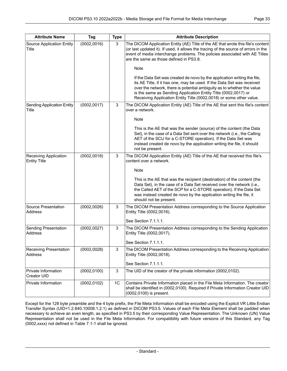| <b>Attribute Name</b>                        | Tag          | <b>Type</b>    | <b>Attribute Description</b>                                                                                                                                                                                                                                                                                                                                          |
|----------------------------------------------|--------------|----------------|-----------------------------------------------------------------------------------------------------------------------------------------------------------------------------------------------------------------------------------------------------------------------------------------------------------------------------------------------------------------------|
| Source Application Entity<br>Title           | (0002, 0016) | 3              | The DICOM Application Entity (AE) Title of the AE that wrote this file's content<br>(or last updated it). If used, it allows the tracing of the source of errors in the<br>event of media interchange problems. The policies associated with AE Titles<br>are the same as those defined in PS3.8.                                                                     |
|                                              |              |                | Note                                                                                                                                                                                                                                                                                                                                                                  |
|                                              |              |                | If the Data Set was created de novo by the application writing the file,<br>its AE Title, if it has one, may be used. If the Data Set was received<br>over the network, there is potential ambiguity as to whether the value<br>is the same as Sending Application Entity Title (0002,0017) or<br>Receiving Application Entity Title (0002,0018) or some other value. |
| <b>Sending Application Entity</b><br>Title   | (0002, 0017) | 3              | The DICOM Application Entity (AE) Title of the AE that sent this file's content<br>over a network.                                                                                                                                                                                                                                                                    |
|                                              |              |                | <b>Note</b>                                                                                                                                                                                                                                                                                                                                                           |
|                                              |              |                | This is the AE that was the sender (source) of the content (the Data<br>Set), in the case of a Data Set sent over the network (i.e., the Calling<br>AET of the SCU for a C-STORE operation). If the Data Set was<br>instead created de novo by the application writing the file, it should<br>not be present.                                                         |
| Receiving Application<br><b>Entity Title</b> | (0002, 0018) | 3              | The DICOM Application Entity (AE) Title of the AE that received this file's<br>content over a network.                                                                                                                                                                                                                                                                |
|                                              |              |                | Note                                                                                                                                                                                                                                                                                                                                                                  |
|                                              |              |                | This is the AE that was the recipient (destination) of the content (the<br>Data Set), in the case of a Data Set received over the network (i.e.,<br>the Called AET of the SCP for a C-STORE operation). If the Data Set<br>was instead created de novo by the application writing the file, it<br>should not be present.                                              |
| Source Presentation<br>Address               | (0002, 0026) | 3              | The DICOM Presentation Address corresponding to the Source Application<br>Entity Title (0002,0016).                                                                                                                                                                                                                                                                   |
|                                              |              |                | See Section 7.1.1.1.                                                                                                                                                                                                                                                                                                                                                  |
| Sending Presentation<br>Address              | (0002, 0027) | 3              | The DICOM Presentation Address corresponding to the Sending Application<br>Entity Title (0002,0017).                                                                                                                                                                                                                                                                  |
|                                              |              |                | See Section 7.1.1.1.                                                                                                                                                                                                                                                                                                                                                  |
| <b>Receiving Presentation</b><br>Address     | (0002, 0028) | 3              | The DICOM Presentation Address corresponding to the Receiving Application<br>Entity Title (0002,0018).                                                                                                                                                                                                                                                                |
| Private Information                          | (0002, 0100) | 3              | See Section 7.1.1.1.<br>The UID of the creator of the private information (0002,0102).                                                                                                                                                                                                                                                                                |
| Creator UID                                  |              |                |                                                                                                                                                                                                                                                                                                                                                                       |
| Private Information                          | (0002, 0102) | 1 <sup>C</sup> | Contains Private Information placed in the File Meta Information. The creator<br>shall be identified in (0002,0100). Required if Private Information Creator UID<br>(0002,0100) is present.                                                                                                                                                                           |

Except for the 128 byte preamble and the 4 byte prefix, the File Meta Information shall be encoded using the Explicit VR Little Endian Transfer Syntax (UID=1.2.840.10008.1.2.1) as defined in DICOM [PS3.5](part05.pdf#PS3.5). Values of each File Meta Element shall be padded when necessary to achieve an even length, as specified in [PS3.5](part05.pdf#PS3.5) by their corresponding Value Representation. The Unknown (UN) Value Representation shall not be used in the File Meta Information. For compatibility with future versions of this Standard, any Tag (0002,xxxx) not defined in [Table](#page-31-0) 7.1-1 shall be ignored.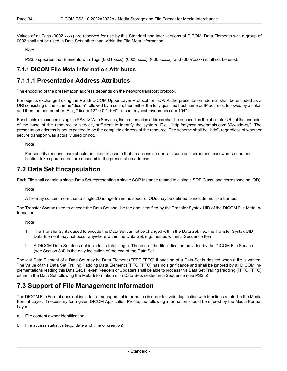Values of all Tags (0002,xxxx) are reserved for use by this Standard and later versions of DICOM. Data Elements with a group of 0002 shall not be used in Data Sets other than within the File Meta Information.

Note

<span id="page-33-0"></span>[PS3.5](part05.pdf#PS3.5) specifies that Elements with Tags (0001,xxxx), (0003,xxxx), (0005,xxxx), and (0007,xxxx) shall not be used.

#### <span id="page-33-1"></span>**7.1.1 DICOM File Meta Information Attributes**

### **7.1.1.1 Presentation Address Attributes**

The encoding of the presentation address depends on the network transport protocol.

For objects exchanged using the [PS3.8](part08.pdf#PS3.8) DICOM Upper Layer Protocol for TCP/IP, the presentation address shall be encoded as a URI consisting of the scheme "dicom" followed by a colon, then either the fully qualified host name or IP address, followed by a colon and then the port number. E.g., "dicom:127.0.0.1:104", "dicom:myhost.mydomain.com:104".

For objects exchanged using the [PS3.18](part18.pdf#PS3.18) Web Services, the presentation address shall be encoded as the absolute URL of the endpoint of the base of the resource or service, sufficient to identify the system. E.g., "http://myhost.mydomain.com:80/wado-rs/". The presentation address is not expected to be the complete address of the resource. The scheme shall be "http", regardless of whether secure transport was actually used or not.

<span id="page-33-2"></span>Note

For security reasons, care should be taken to assure that no access credentials such as usernames, passwords or authen tication token parameters are encoded in the presentation address.

### **7.2 Data Set Encapsulation**

Each File shall contain a single Data Set representing a single SOP Instance related to a single SOP Class (and corresponding IOD).

**Note** 

A file may contain more than a single 2D image frame as specific IODs may be defined to include multiple frames.

The Transfer Syntax used to encode the Data Set shall be the one identified by the Transfer Syntax UID of the DICOM File Meta In formation.

Note

- 1. The Transfer Syntax used to encode the Data Set cannot be changed within the Data Set; i.e., the Transfer Syntax UID Data Element may not occur anywhere within the Data Set, e.g., nested within a Sequence Item.
- 2. A DICOM Data Set does not include its total length. The end of the file indication provided by the DICOM File Service (see [Section](#page-39-0) 8.4) is the only indication of the end of the Data Set.

<span id="page-33-3"></span>The last Data Element of a Data Set may be Data Element (FFFC,FFFC) if padding of a Data Set is desired when a file is written. The Value of this Data Set Trailing Padding Data Element (FFFC,FFFC) has no significance and shall be ignored by all DICOM im plementations reading this Data Set. File-set Readers or Updaters shall be able to process this Data Set Trailing Padding (FFFC,FFFC) either in the Data Set following the Meta Information or in Data Sets nested in a Sequence (see [PS3.5](part05.pdf#PS3.5)).

# **7.3 Support of File Management Information**

The DICOM File Format does not include file management information in order to avoid duplication with functions related to the Media Format Layer. If necessary for a given DICOM Application Profile, the following information should be offered by the Media Format Layer:

- a. File content owner identification;
- b. File access statistics (e.g., date and time of creation);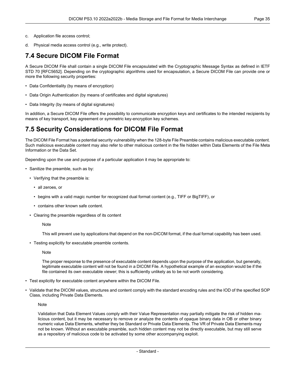- c. Application file access control;
- <span id="page-34-0"></span>d. Physical media access control (e.g., write protect).

### **7.4 Secure DICOM File Format**

A Secure DICOM File shall contain a single DICOM File encapsulated with the Cryptographic Message Syntax as defined in IETF STD 70 [\[RFC5652\]](#page-14-7). Depending on the cryptographic algorithms used for encapsulation, a Secure DICOM File can provide one or more the following security properties:

- Data Confidentiality (by means of encryption)
- Data Origin Authentication (by means of certificates and digital signatures)
- Data Integrity (by means of digital signatures)

<span id="page-34-1"></span>In addition, a Secure DICOM File offers the possibility to communicate encryption keys and certificates to the intended recipients by means of key transport, key agreement or symmetric key-encryption key schemes.

### **7.5 Security Considerations for DICOM File Format**

The DICOM File Format has a potential security vulnerability when the 128-byte File Preamble contains malicious executable content. Such malicious executable content may also refer to other malicious content in the file hidden within Data Elements of the File Meta Information or the Data Set.

Depending upon the use and purpose of a particular application it may be appropriate to:

- Sanitize the preamble, such as by:
	- Verifying that the preamble is:
		- all zeroes, or
		- begins with a valid magic number for recognized dual format content (e.g., TIFF or BigTIFF), or
		- contains other known safe content.
	- Clearing the preamble regardless of its content

**Note** 

This will prevent use by applications that depend on the non-DICOM format, if the dual format capability has been used.

• Testing explicitly for executable preamble contents.

**Note** 

The proper response to the presence of executable content depends upon the purpose of the application, but generally, legitimate executable content will not be found in a DICOM File. A hypothetical example of an exception would be if the file contained its own executable viewer; this is sufficiently unlikely as to be not worth considering.

- Test explicitly for executable content anywhere within the DICOM File.
- Validate that the DICOM values, structures and content comply with the standard encoding rules and the IOD of the specified SOP Class, including Private Data Elements.

**Note** 

Validation that Data Element Values comply with their Value Representation may partially mitigate the risk of hidden ma licious content, but it may be necessary to remove or analyze the contents of opaque binary data in OB or other binary numeric value Data Elements, whether they be Standard or Private Data Elements. The VR of Private Data Elements may not be known. Without an executable preamble, such hidden content may not be directly executable, but may still serve as a repository of malicious code to be activated by some other accompanying exploit.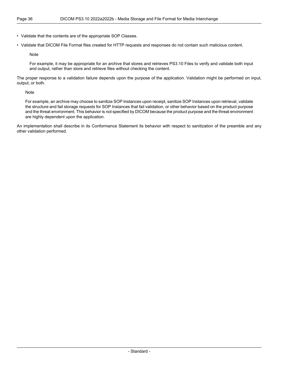• Validate that the contents are of the appropriate SOP Classes.

• Validate that DICOM File Format files created for HTTP requests and responses do not contain such malicious content.

Note

For example, it may be appropriate for an archive that stores and retrieves PS3.10 Files to verify and validate both input and output, rather than store and retrieve files without checking the content.

The proper response to a validation failure depends upon the purpose of the application. Validation might be performed on input, output, or both.

Note

For example, an archive may choose to sanitize SOP Instances upon receipt, sanitize SOP Instances upon retrieval, validate the structure and fail storage requests for SOP Instances that fail validation, or other behavior based on the product purpose and the threat environment. This behavior is not specified by DICOM because the product purpose and the threat environment are highly dependent upon the application.

An implementation shall describe in its Conformance Statement its behavior with respect to sanitization of the preamble and any other validation performed.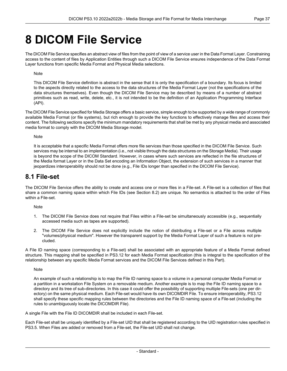# <span id="page-36-0"></span>**8 DICOM File Service**

The DICOM File Service specifies an abstract view of files from the point of view of a service user in the Data Format Layer. Constraining access to the content of files by Application Entities through such a DICOM File Service ensures independence of the Data Format Layer functions from specific Media Format and Physical Media selections.

#### Note

This DICOM File Service definition is abstract in the sense that it is only the specification of a boundary. Its focus is limited to the aspects directly related to the access to the data structures of the Media Format Layer (not the specifications of the data structures themselves). Even though the DICOM File Service may be described by means of a number of abstract primitives such as read, write, delete, etc., it is not intended to be the definition of an Application Programming Interface (API).

The DICOM File Service specified for Media Storage offers a basic service, simple enough to be supported by a wide range of commonly available Media Format (or file systems), but rich enough to provide the key functions to effectively manage files and access their content. The following sections specify the minimum mandatory requirements that shall be met by any physical media and associated media format to comply with the DICOM Media Storage model.

#### Note

<span id="page-36-1"></span>It is acceptable that a specific Media Format offers more file services than those specified in the DICOM File Service. Such services may be internal to an implementation (i.e., not visible through the data structures on the Storage Media). Their usage is beyond the scope of the DICOM Standard. However, in cases where such services are reflected in the file structures of the Media format Layer or in the Data Set encoding an Information Object, the extension of such services in a manner that jeopardizes interoperability should not be done (e.g., File IDs longer than specified in the DICOM File Service).

### **8.1 File-set**

The DICOM File Service offers the ability to create and access one or more files in a File-set. A File-set is a collection of files that share a common naming space within which File IDs (see [Section](#page-37-0) 8.2) are unique. No semantics is attached to the order of Files within a File-set.

Note

- 1. The DICOM File Service does not require that Files within a File-set be simultaneously accessible (e.g., sequentially accessed media such as tapes are supported).
- 2. The DICOM File Service does not explicitly include the notion of distributing a File-set or a File across multiple "volumes/physical medium". However the transparent support by the Media Format Layer of such a feature is not pre cluded.

A File ID naming space (corresponding to a File-set) shall be associated with an appropriate feature of a Media Format defined structure. This mapping shall be specified in [PS3.12](part12.pdf#PS3.12) for each Media Format specification (this is integral to the specification of the relationship between any specific Media Format services and the DICOM File Services defined in this Part).

Note

An example of such a relationship is to map the File ID naming space to a volume in a personal computer Media Format or a partition in a workstation File System on a removable medium. Another example is to map the File ID naming space to a directory and its tree of sub-directories. In this case it could offer the possibility of supporting multiple File-sets (one per dir ectory) on the same physical medium. Each File-set would have its own DICOMDIR File. To ensure interoperability, [PS3.12](part12.pdf#PS3.12) shall specify these specific mapping rules between the directories and the File ID naming space of a File-set (including the rules to unambiguously locate the DICOMDIR File).

A single File with the File ID DICOMDIR shall be included in each File-set.

Each File-set shall be uniquely identified by a File-set UID that shall be registered according to the UID registration rules specified in [PS3.5](part05.pdf#PS3.5). When Files are added or removed from a File-set, the File-set UID shall not change.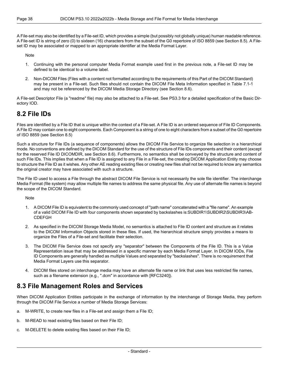A File-set may also be identified by a File-set ID, which provides a simple (but possibly not globally unique) human readable reference. A File-set ID is string of zero (0) to sixteen (16) characters from the subset of the G0 repertoire of ISO 8859 (see [Section](#page-39-1) 8.5). A File set ID may be associated or mapped to an appropriate identifier at the Media Format Layer.

Note

- 1. Continuing with the personal computer Media Format example used first in the previous note, a File-set ID may be defined to be identical to a volume label.
- 2. Non-DICOM Files (Files with a content not formatted according to the requirements of this Part of the DICOM Standard) may be present in a File-set. Such files should not contain the DICOM File Meta Information specified in [Table](#page-31-0) 7.1-1 and may not be referenced by the DICOM Media Storage Directory (see [Section](#page-39-2) 8.6).

<span id="page-37-0"></span>A File-set Descriptor File (a "readme" file) may also be attached to a File-set. See [PS3.3](part03.pdf#PS3.3) for a detailed specification of the Basic Dir ectory IOD.

# **8.2 File IDs**

Files are identified by a File ID that is unique within the context of a File-set. A File ID is an ordered sequence of File ID Components. A File ID may contain one to eight components. Each Component is a string of one to eight characters from a subset of the G0 repertoire of ISO 8859 (see [Section](#page-39-1) 8.5)

Such a structure for File IDs (a sequence of components) allows the DICOM File Service to organize file selection in a hierarchical mode. No conventions are defined by the DICOM Standard for the use of the structure of File IDs components and their content (except for the reserved File ID DICOMDIR, see [Section](#page-39-2) 8.6). Furthermore, no semantics shall be conveyed by the structure and content of such File IDs. This implies that when a File ID is assigned to any File in a File-set, the creating DICOM Application Entity may choose to structure the File ID as it wishes. Any other AE reading existing files or creating new files shall not be required to know any semantics the original creator may have associated with such a structure.

The File ID used to access a File through the abstract DICOM File Service is not necessarily the sole file identifier. The interchange Media Format (file system) may allow multiple file names to address the same physical file. Any use of alternate file names is beyond the scope of the DICOM Standard.

**Note** 

- 1. A DICOM File ID is equivalent to the commonly used concept of "path name" concatenated with a "file name". An example of a valid DICOM File ID with four components shown separated by backslashes is:SUBDIR1\SUBDIR2\SUBDIR3\AB- CDEFGH
- 2. As specified in the DICOM Storage Media Model, no semantics is attached to File ID content and structure as it relates to the DICOM Information Objects stored in these files. If used, the hierarchical structure simply provides a means to organize the Files of a File-set and facilitate their selection.
- <span id="page-37-1"></span>3. The DICOM File Service does not specify any "separator" between the Components of the File ID. This is a Value Representation issue that may be addressed in a specific manner by each Media Format Layer. In DICOM IODs, File ID Components are generally handled as multiple Values and separated by "backslashes". There is no requirement that Media Format Layers use this separator.
- 4. DICOM files stored on interchange media may have an alternate file name or link that uses less restricted file names, such as a filename extension (e.g., ".dcm" in accordance with [\[RFC3240\]](#page-14-8)).

### **8.3 File Management Roles and Services**

When DICOM Application Entities participate in the exchange of information by the interchange of Storage Media, they perform through the DICOM File Service a number of Media Storage Services:

- a. M-WRITE, to create new files in a File-set and assign them a File ID;
- b. M-READ to read existing files based on their File ID;
- c. M-DELETE to delete existing files based on their File ID;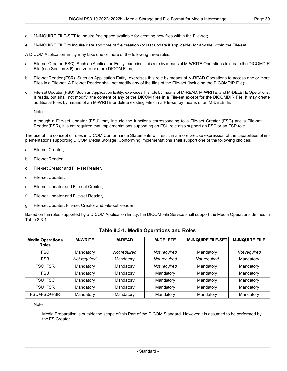- d. M-INQUIRE FILE-SET to inquire free space available for creating new files within the File-set;
- e. M-INQUIRE FILE to inquire date and time of file creation (or last update if applicable) for any file within the File-set.

A DICOM Application Entity may take one or more of the following three roles:

- a. File-set Creator (FSC). Such an Application Entity, exercises this role by means of M-WRITE Operations to create the DICOMDIR File (see [Section](#page-39-2) 8.6) and zero or more DICOM Files;
- b. File-set Reader (FSR). Such an Application Entity, exercises this role by means of M-READ Operations to access one or more Files in a File-set. A File-set Reader shall not modify any of the files of the File-set (including the DICOMDIR File);
- File-set Updater (FSU). Such an Application Entity, exercises this role by means of M-READ, M-WRITE, and M-DELETE Operations. It reads, but shall not modify, the content of any of the DICOM files in a File-set except for the DICOMDIR File. It may create additional Files by means of an M-WRITE or delete existing Files in a File-set by means of an M-DELETE.

Note

Although a File-set Updater (FSU) may include the functions corresponding to a File-set Creator (FSC) and a File-set Reader (FSR), it is not required that implementations supporting an FSU role also support an FSC or an FSR role.

The use of the concept of roles in DICOM Conformance Statements will result in a more precise expression of the capabilities of im plementations supporting DICOM Media Storage. Conforming implementations shall support one of the following choices:

- a. File-set Creator,
- b. File-set Reader,
- c. File-set Creator and File-set Reader,
- d. File-set Updater,
- e. File-set Updater and File-set Creator,
- f. File-set Updater and File-set Reader,
- <span id="page-38-0"></span>g. File-set Updater, File-set Creator and File-set Reader.

Based on the roles supported by a DICOM Application Entity, the DICOM File Service shall support the Media Operations defined in [Table](#page-38-0) 8.3-1.

| <b>Media Operations</b><br><b>Roles</b> | <b>M-WRITE</b> | <b>M-READ</b> | <b>M-DELETE</b> | <b>M-INQUIRE FILE-SET</b> | <b>M-INQUIRE FILE</b> |
|-----------------------------------------|----------------|---------------|-----------------|---------------------------|-----------------------|
| <b>FSC</b>                              | Mandatory      | Not required  | Not required    | Mandatory                 | Not required          |
| <b>FSR</b>                              | Not required   | Mandatory     | Not required    | Not required              | Mandatory             |
| FSC+FSR                                 | Mandatory      | Mandatory     | Not required    | Mandatory                 | Mandatory             |
| <b>FSU</b>                              | Mandatory      | Mandatory     | Mandatory       | Mandatory                 | Mandatory             |
| FSU+FSC                                 | Mandatory      | Mandatory     | Mandatory       | Mandatory                 | Mandatory             |
| FSU+FSR                                 | Mandatory      | Mandatory     | Mandatory       | Mandatory                 | Mandatory             |
| FSU+FSC+FSR                             | Mandatory      | Mandatory     | Mandatory       | Mandatory                 | Mandatory             |

#### **Table 8.3-1. Media Operations and Roles**

#### Note

1. Media Preparation is outside the scope of this Part of the DICOM Standard. However it is assumed to be performed by the FS Creator.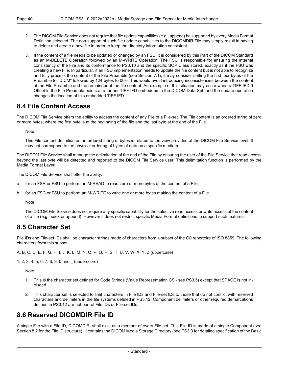- 2. The DICOM File Service does not require that file update capabilities (e.g., append) be supported by every Media Format Definition selected. The non-support of such file update capabilities to the DICOMDIR File may simply result in having to delete and create a new file in order to keep the directory information consistent.
- 3. If the content of a file needs to be updated or changed by an FSU, it is considered by this Part of the DICOM Standard as an M-DELETE Operation followed by an M-WRITE Operation. The FSU is responsible for ensuring the internal consistency of the File and its conformance to PS3.10 and the specific SOP Class stored, exactly as if the FSU was creating a new File. In particular, if an FSU implementation needs to update the file content but is not able to recognize and fully process the content of the File Preamble (see [Section](#page-30-1) 7.1), it may consider setting the first four bytes of the Preamble to "DICM" followed by 124 bytes to 00H. This would avoid introducing inconsistencies between the content of the File Preamble and the remainder of the file content. An example of this situation may occur when a TIFF IFD 0 Offset in the File Preamble points at a further TIFF IFD embedded in the DICOM Data Set, and the update operation changes the location of this embedded TIFF IFD.

### <span id="page-39-0"></span>**8.4 File Content Access**

The DICOM File Service offers the ability to access the content of any File of a File-set. The File content is an ordered string of zero or more bytes, where the first byte is at the beginning of the file and the last byte at the end of the File.

Note

This File content definition as an ordered string of bytes is related to the view provided at the DICOM File Service level. It may not correspond to the physical ordering of bytes of data on a specific medium.

The DICOM File Service shall manage the delimitation of the end of the File by ensuring the user of the File Service that read access beyond the last byte will be detected and reported to the DICOM File Service user. This delimitation function is performed by the Media Format Layer.

The DICOM File Service shall offer the ability:

- a. for an FSR or FSU to perform an M-READ to read zero or more bytes of the content of a File;
- <span id="page-39-1"></span>b. for an FSC or FSU to perform an M-WRITE to write one or more bytes making the content of a File.

Note

The DICOM File Service does not require any specific capability for the selective read access or write access of the content of a file (e.g., seek or append). However it does not restrict specific Media Format definitions to support such features.

### **8.5 Character Set**

File IDs and File-set IDs shall be character strings made of characters from a subset of the G0 repertoire of ISO 8859. The following characters form this subset:

A, B, C, D, E, F, G, H, I, J, K, L, M, N, O, P, Q, R, S, T, U, V, W, X, Y, Z (uppercase)

1, 2, 3, 4, 5, 6, 7, 8, 9, 0 and \_ (underscore)

**Note** 

- <span id="page-39-2"></span>1. This is the character set defined for Code Strings (Value Representation CS - see [PS3.5\)](part05.pdf#PS3.5) except that SPACE is not in cluded.
- 2. This character set is selected to limit characters in File IDs and File-set IDs to those that do not conflict with reserved characters and delimiters in the file systems defined in [PS3.12](part12.pdf#PS3.12). Component delimiters or other required demarcations defined in [PS3.12](part12.pdf#PS3.12) are not part of File IDs or File-set IDs

# **8.6 Reserved DICOMDIR File ID**

A single File with a File ID, DICOMDIR, shall exist as a member of every File-set. This File ID is made of a single Component (see [Section](#page-37-0) 8.2 for the File ID structure). It contains the DICOM Media Storage Directory (see [PS3.3](part03.pdf#PS3.3) for detailed specification of the Basic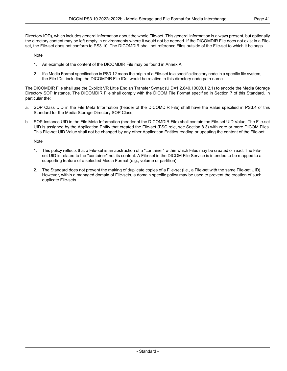the directory content may be left empty in environments where it would not be needed. If the DICOMDIR File does not exist in a File set, the File-set does not conform to PS3.10. The DICOMDIR shall not reference Files outside of the File-set to which it belongs.

Note

- 1. An example of the content of the DICOMDIR File may be found in [Annex](#page-44-0) A.
- 2. If a Media Format specification in [PS3.12](part12.pdf#PS3.12) maps the origin of a File-set to a specific directory node in a specific file system, the File IDs, including the DICOMDIR File IDs, would be relative to this directory node path name.

The DICOMDIR File shall use the Explicit VR Little Endian Transfer Syntax (UID=1.2.840.10008.1.2.1) to encode the Media Storage Directory SOP Instance. The DICOMDIR File shall comply with the DICOM File Format specified in Section 7 of this Standard. In particular the:

- a. SOP Class UID in the File Meta Information (header of the DICOMDIR File) shall have the Value specified in [PS3.4](part04.pdf#PS3.4) of this Standard for the Media Storage Directory SOP Class;
- b. SOP Instance UID in the File Meta Information (header of the DICOMDIR File) shall contain the File-set UID Value. The File-set UID is assigned by the Application Entity that created the File-set (FSC role, see [Section](#page-37-1) 8.3) with zero or more DICOM Files. This File-set UID Value shall not be changed by any other Application Entities reading or updating the content of the File-set.

Note

- 1. This policy reflects that a File-set is an abstraction of a "container" within which Files may be created or read. The File set UID is related to the "container" not its content. A File-set in the DICOM File Service is intended to be mapped to a supporting feature of a selected Media Format (e.g., volume or partition).
- 2. The Standard does not prevent the making of duplicate copies of a File-set (i.e., a File-set with the same File-set UID). However, within a managed domain of File-sets, a domain specific policy may be used to prevent the creation of such duplicate File-sets.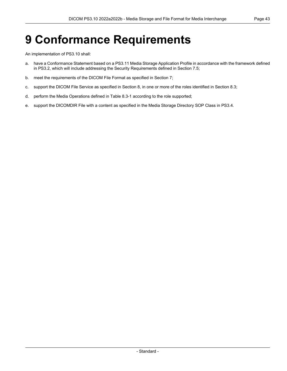# <span id="page-42-0"></span>**9 Conformance Requirements**

An implementation of PS3.10 shall:

- a. have a Conformance Statement based on a [PS3.11](part11.pdf#PS3.11) Media Storage Application Profile in accordance with the framework defined in [PS3.2,](part02.pdf#PS3.2) which will include addressing the Security Requirements defined in [Section](#page-34-1) 7.5;
- b. meet the requirements of the DICOM File Format as specified in [Section](#page-30-0) 7;
- c. support the DICOM File Service as specified in [Section](#page-36-0) 8, in one or more of the roles identified in [Section](#page-37-1) 8.3;
- d. perform the Media Operations defined in [Table](#page-38-0) 8.3-1 according to the role supported;
- e. support the DICOMDIR File with a content as specified in the Media Storage Directory SOP Class in [PS3.4.](part04.pdf#PS3.4)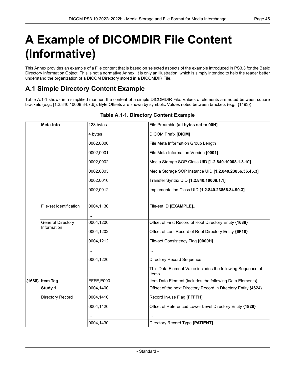# <span id="page-44-0"></span>**A Example of DICOMDIR File Content (Informative)**

<span id="page-44-1"></span>This Annex provides an example of a File content that is based on selected aspects of the example introduced in [PS3.3](part03.pdf#PS3.3) for the Basic Directory Information Object. This is not a normative Annex. It is only an illustration, which is simply intended to help the reader better understand the organization of a DICOM Directory stored in a DICOMDIR File.

# **A.1 Simple Directory Content Example**

<span id="page-44-2"></span>[Table](#page-44-2) A.1-1 shows in a simplified manner, the content of a simple DICOMDIR File. Values of elements are noted between square brackets (e.g., [1.2.840.10008.34.7.6]). Byte Offsets are shown by symbolic Values noted between brackets (e.g., {1493}).

| Meta-Info                               | 128 bytes | File Preamble [all bytes set to 00H]                                 |
|-----------------------------------------|-----------|----------------------------------------------------------------------|
|                                         | 4 bytes   | <b>DICOM Prefix [DICM]</b>                                           |
|                                         | 0002.0000 | File Meta Information Group Length                                   |
|                                         | 0002,0001 | File Meta-Information Version [0001]                                 |
|                                         | 0002,0002 | Media Storage SOP Class UID [1.2.840.10008.1.3.10]                   |
|                                         | 0002,0003 | Media Storage SOP Instance UID [1.2.840.23856.36.45.3]               |
|                                         | 0002,0010 | Transfer Syntax UID [1.2.840.10008.1.1]                              |
|                                         | 0002,0012 | Implementation Class UID [1.2.840.23856.34.90.3]                     |
|                                         |           |                                                                      |
| File-set Identification                 | 0004,1130 | File-set ID [EXAMPLE]                                                |
|                                         |           |                                                                      |
| <b>General Directory</b><br>Information | 0004,1200 | Offset of First Record of Root Directory Entity {1688}               |
|                                         | 0004,1202 | Offset of Last Record of Root Directory Entity {6F18}                |
|                                         | 0004,1212 | File-set Consistency Flag [0000H]                                    |
|                                         |           |                                                                      |
|                                         | 0004,1220 | Directory Record Sequence.                                           |
|                                         |           | This Data Element Value includes the following Sequence of<br>Items. |
| {1688} Item Tag                         | FFFE,E000 | Item Data Element (includes the following Data Elements)             |
| Study 1                                 | 0004,1400 | Offset of the next Directory Record in Directory Entity {4624}       |
| Directory Record                        | 0004,1410 | Record In-use Flag [FFFFH]                                           |
|                                         | 0004,1420 | Offset of Referenced Lower Level Directory Entity {1828}             |
|                                         |           |                                                                      |
|                                         | 0004,1430 | Directory Record Type [PATIENT]                                      |

#### **Table A.1-1. Directory Content Example**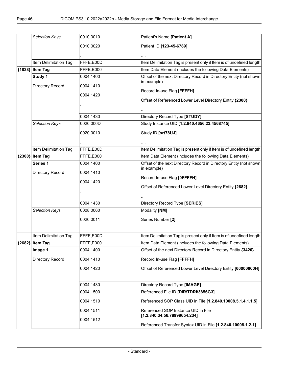| Selection Keys             | 0010,0010 | Patient's Name [Patient A]                                                                                                       |
|----------------------------|-----------|----------------------------------------------------------------------------------------------------------------------------------|
|                            | 0010,0020 | Patient ID [123-45-6789]                                                                                                         |
|                            |           |                                                                                                                                  |
| Item Delimitation Tag      |           | Item Delimitation Tag is present only if Item is of undefined length                                                             |
|                            | FFFE,E00D |                                                                                                                                  |
| {1828} Item Tag            | FFFE,E000 | Item Data Element (includes the following Data Elements)                                                                         |
| Study 1                    | 0004,1400 | Offset of the next Directory Record in Directory Entity (not shown<br>in example)                                                |
| Directory Record           | 0004,1410 |                                                                                                                                  |
|                            | 0004,1420 | Record In-use Flag [FFFFH]                                                                                                       |
|                            |           | Offset of Referenced Lower Level Directory Entity {2300}                                                                         |
|                            |           |                                                                                                                                  |
|                            | 0004,1430 | Directory Record Type [STUDY]                                                                                                    |
| Selection Keys             | 0020,000D | Study Instance UID [1.2.840.4656.23.4568745]                                                                                     |
|                            | 0020,0010 | Study ID [srt78UJ]                                                                                                               |
|                            |           |                                                                                                                                  |
|                            |           |                                                                                                                                  |
| Item Delimitation Tag      | FFFE,E00D | Item Delimitation Tag is present only if Item is of undefined length                                                             |
| {2300} Item Tag            | FFFE,E000 | Item Data Element (includes the following Data Elements)                                                                         |
| Series 1                   | 0004,1400 | Offset of the next Directory Record in Directory Entity (not shown<br>in example)                                                |
| Directory Record           | 0004,1410 |                                                                                                                                  |
|                            | 0004,1420 | Record In-use Flag [OFFFFH]                                                                                                      |
|                            |           | Offset of Referenced Lower Level Directory Entity {2682}                                                                         |
|                            |           |                                                                                                                                  |
|                            | 0004,1430 | Directory Record Type [SERIES]                                                                                                   |
| Selection Keys             | 0008,0060 | Modality [NM]                                                                                                                    |
|                            | 0020,0011 | Series Number [2]                                                                                                                |
|                            |           |                                                                                                                                  |
| Item Delimitation Tag      | FFFE,E00D |                                                                                                                                  |
|                            | FFFE,E000 | Item Delimitation Tag is present only if Item is of undefined length<br>Item Data Element (includes the following Data Elements) |
| {2682} Item Tag<br>Image 1 | 0004,1400 | Offset of the next Directory Record in Directory Entity {3420}                                                                   |
|                            |           |                                                                                                                                  |
| Directory Record           | 0004,1410 | Record In-use Flag [FFFFH]                                                                                                       |
|                            | 0004,1420 | Offset of Referenced Lower Level Directory Entity [00000000H]                                                                    |
|                            |           |                                                                                                                                  |
|                            | 0004,1430 | Directory Record Type [IMAGE]                                                                                                    |
|                            | 0004,1500 | Referenced File ID [DIR\TDRI\3856G3]                                                                                             |
|                            | 0004,1510 | Referenced SOP Class UID in File [1.2.840.10008.5.1.4.1.1.5]                                                                     |
|                            |           | Referenced SOP Instance UID in File                                                                                              |
|                            | 0004,1511 | [1.2.840.34.56.78999654.234]                                                                                                     |
|                            | 0004,1512 |                                                                                                                                  |
|                            |           | Referenced Transfer Syntax UID in File [1.2.840.10008.1.2.1]                                                                     |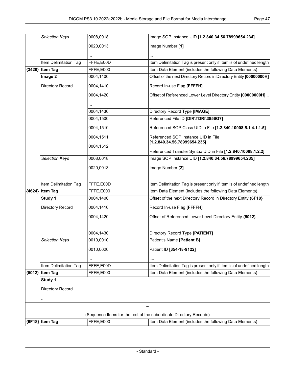|          | <b>Selection Keys</b> | 0008,0018 | Image SOP Instance UID [1.2.840.34.56.78999654.234]                  |
|----------|-----------------------|-----------|----------------------------------------------------------------------|
|          |                       | 0020,0013 | Image Number [1]                                                     |
|          |                       |           |                                                                      |
|          | Item Delimitation Tag | FFFE,E00D | Item Delimitation Tag is present only if Item is of undefined length |
| ${3420}$ | <b>Item Tag</b>       | FFFE,E000 | Item Data Element (includes the following Data Elements)             |
|          |                       |           |                                                                      |
|          | Image 2               | 0004,1400 | Offset of the next Directory Record in Directory Entity [00000000H]  |
|          | Directory Record      | 0004,1410 | Record In-use Flag [FFFFH]                                           |
|          |                       | 0004,1420 | Offset of Referenced Lower Level Directory Entity [00000000H]        |
|          |                       |           |                                                                      |
|          |                       | 0004,1430 | Directory Record Type [IMAGE]                                        |
|          |                       | 0004,1500 | Referenced File ID [DIR\TDRI\3856G7]                                 |
|          |                       | 0004,1510 | Referenced SOP Class UID in File [1.2.840.10008.5.1.4.1.1.5]         |
|          |                       | 0004,1511 | Referenced SOP Instance UID in File                                  |
|          |                       | 0004,1512 | [1.2.840.34.56.78999654.235]                                         |
|          |                       |           | Referenced Transfer Syntax UID in File [1.2.840.10008.1.2.2]         |
|          | Selection Keys        | 0008,0018 | Image SOP Instance UID [1.2.840.34.56.78999654.235]                  |
|          |                       | 0020,0013 | Image Number [2]                                                     |
|          |                       |           |                                                                      |
|          | Item Delimitation Tag | FFFE,E00D | Item Delimitation Tag is present only if Item is of undefined length |
|          | {4624} Item Tag       | FFFE,E000 | Item Data Element (includes the following Data Elements)             |
|          | Study 1               | 0004,1400 | Offset of the next Directory Record in Directory Entity {6F18}       |
|          | Directory Record      | 0004,1410 | Record In-use Flag [FFFFH]                                           |
|          |                       | 0004,1420 | Offset of Referenced Lower Level Directory Entity {5012}             |
|          |                       |           |                                                                      |
|          |                       | 0004,1430 | Directory Record Type [PATIENT]                                      |
|          | <b>Selection Keys</b> | 0010,0010 | Patient's Name [Patient B]                                           |
|          |                       | 0010,0020 | Patient ID [354-18-9122]                                             |
|          |                       |           |                                                                      |
|          | Item Delimitation Tag | FFFE,E00D | Item Delimitation Tag is present only if Item is of undefined length |
| ${5012}$ | <b>Item Tag</b>       | FFFE,E000 | Item Data Element (includes the following Data Elements)             |
|          | Study 1               |           |                                                                      |
|          | Directory Record      |           |                                                                      |
|          |                       |           |                                                                      |
|          |                       |           |                                                                      |
|          |                       |           | (Sequence Items for the rest of the subordinate Directory Records)   |
|          | {6F18} Item Tag       | FFFE,E000 | Item Data Element (includes the following Data Elements)             |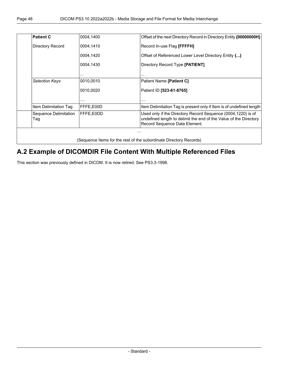| <b>Patient C</b>             | 0004,1400 | Offset of the next Directory Record in Directory Entity {00000000H}                                                                                                |
|------------------------------|-----------|--------------------------------------------------------------------------------------------------------------------------------------------------------------------|
| Directory Record             | 0004,1410 | Record In-use Flag [FFFFH]                                                                                                                                         |
|                              | 0004,1420 | Offset of Referenced Lower Level Directory Entity {}                                                                                                               |
|                              | 0004,1430 | Directory Record Type [PATIENT]                                                                                                                                    |
|                              | .         | .                                                                                                                                                                  |
| <b>Selection Keys</b>        | 0010,0010 | Patient Name [Patient C]                                                                                                                                           |
|                              | 0010,0020 | Patient ID [523-61-8765]                                                                                                                                           |
|                              | .         | .                                                                                                                                                                  |
| Item Delimitation Tag        | FFFE,E00D | Item Delimitation Tag is present only if Item is of undefined length                                                                                               |
| Sequence Delimitation<br>Tag | FFFE.E0DD | Used only if the Directory Record Sequence (0004,1220) is of<br>undefined length to delimit the end of the Value of the Directory<br>Record Sequence Data Element. |

# <span id="page-47-0"></span>**A.2 Example of DICOMDIR File Content With Multiple Referenced Files**

This section was previously defined in DICOM. It is now retired. See PS3.3-1998.